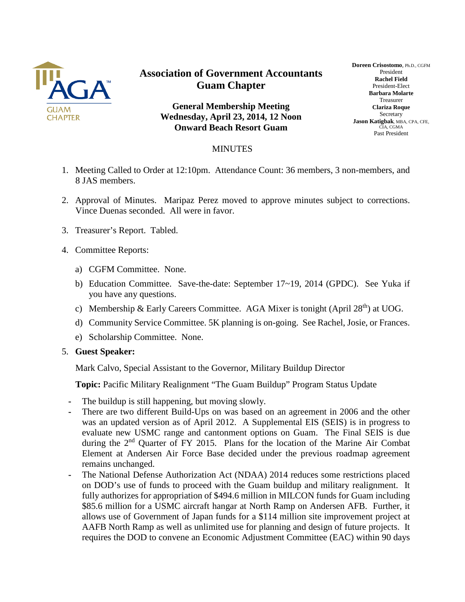

## **Association of Government Accountants Guam Chapter**

**General Membership Meeting Wednesday, April 23, 2014, 12 Noon Onward Beach Resort Guam**

## **Doreen Crisostomo**, Ph.D., CGFM President **Rachel Field** President-Elect **Barbara Molarte** Treasurer **Clariza Roque** Secretary **Jason Katigbak**, MBA, CPA, CFE, CIA, CGMA Past President

## MINUTES

- 1. Meeting Called to Order at 12:10pm. Attendance Count: 36 members, 3 non-members, and 8 JAS members.
- 2. Approval of Minutes. Maripaz Perez moved to approve minutes subject to corrections. Vince Duenas seconded. All were in favor.
- 3. Treasurer's Report. Tabled.
- 4. Committee Reports:
	- a) CGFM Committee. None.
	- b) Education Committee. Save-the-date: September 17~19, 2014 (GPDC). See Yuka if you have any questions.
	- c) Membership & Early Careers Committee. AGA Mixer is tonight (April 28<sup>th</sup>) at UOG.
	- d) Community Service Committee. 5K planning is on-going. See Rachel, Josie, or Frances.
	- e) Scholarship Committee. None.
- 5. **Guest Speaker:**

Mark Calvo, Special Assistant to the Governor, Military Buildup Director

**Topic:** Pacific Military Realignment "The Guam Buildup" Program Status Update

- **-** The buildup is still happening, but moving slowly.
- **-** There are two different Build-Ups on was based on an agreement in 2006 and the other was an updated version as of April 2012. A Supplemental EIS (SEIS) is in progress to evaluate new USMC range and cantonment options on Guam. The Final SEIS is due during the 2<sup>nd</sup> Quarter of FY 2015. Plans for the location of the Marine Air Combat Element at Andersen Air Force Base decided under the previous roadmap agreement remains unchanged.
- **-** The National Defense Authorization Act (NDAA) 2014 reduces some restrictions placed on DOD's use of funds to proceed with the Guam buildup and military realignment. It fully authorizes for appropriation of \$494.6 million in MILCON funds for Guam including \$85.6 million for a USMC aircraft hangar at North Ramp on Andersen AFB. Further, it allows use of Government of Japan funds for a \$114 million site improvement project at AAFB North Ramp as well as unlimited use for planning and design of future projects. It requires the DOD to convene an Economic Adjustment Committee (EAC) within 90 days